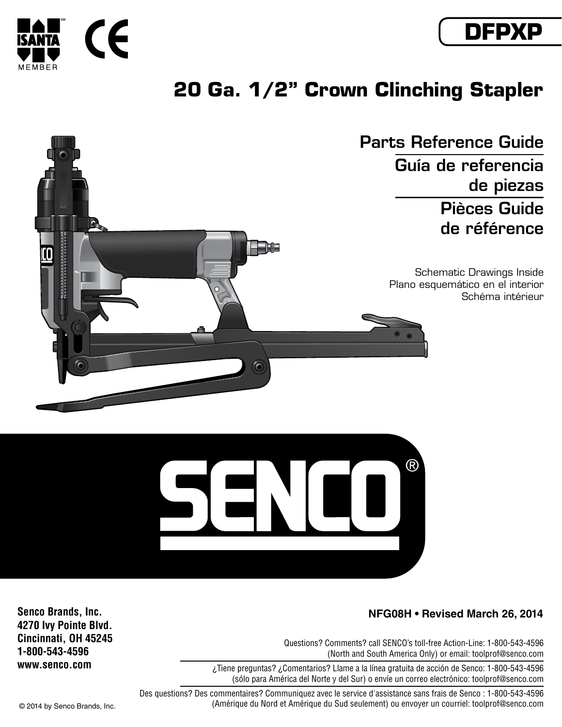



# **20 Ga. 1/2" Crown Clinching Stapler**





### **NFG08H • Revised March 26, 2014**

Questions? Comments? call SENCO's toll-free Action-Line: 1-800-543-4596 (North and South America Only) or email: toolprof@senco.com

¿Tiene preguntas? ¿Comentarios? Llame a la línea gratuita de acción de Senco: 1-800-543-4596 (sólo para América del Norte y del Sur) o envíe un correo electrónico: toolprof@senco.com

Des questions? Des commentaires? Communiquez avec le service d'assistance sans frais de Senco : 1-800-543-4596 © 2014 by Senco Brands, Inc. (Amérique du Nord et Amérique du Sud seulement) ou envoyer un courriel: toolprof@senco.com

**Senco Brands, Inc. 4270 Ivy Pointe Blvd. Cincinnati, OH 45245 1-800-543-4596 www.senco.com**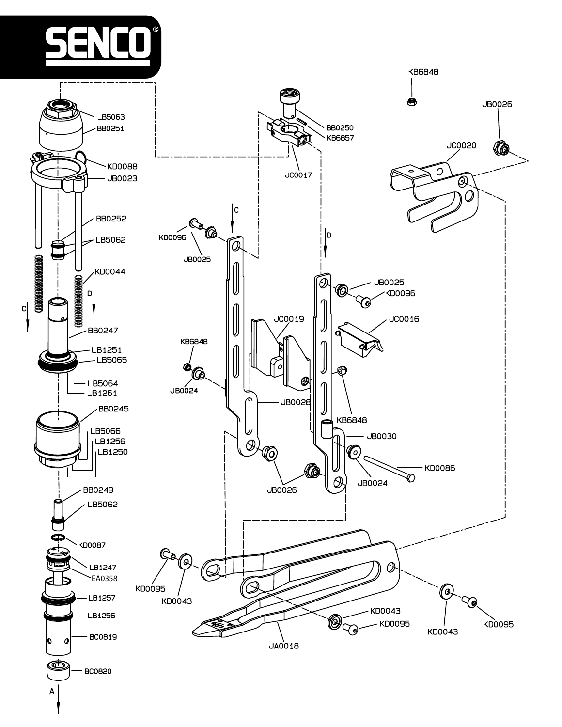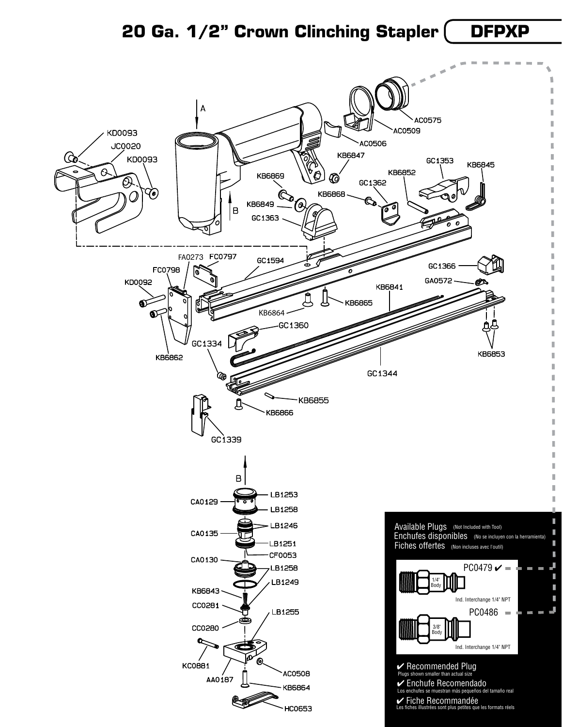## **20 Ga. 1/2" Crown Clinching Stapler DFPXP**